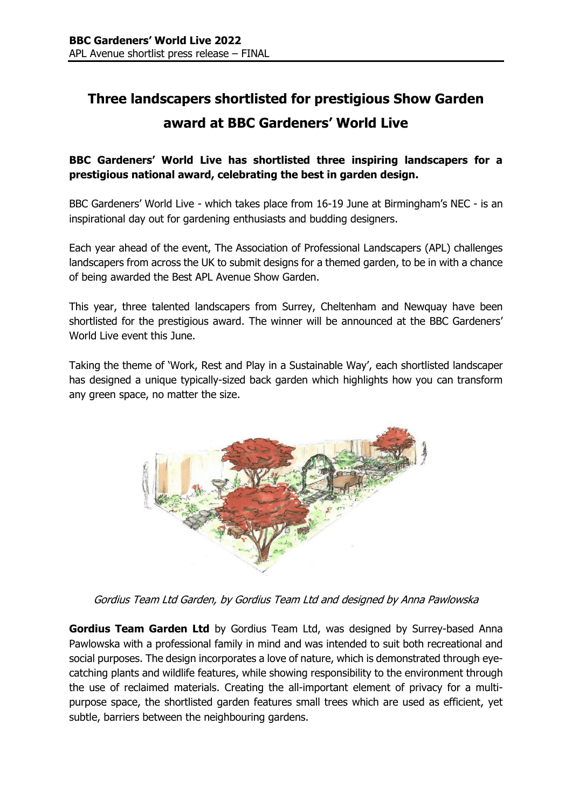## **Three landscapers shortlisted for prestigious Show Garden award at BBC Gardeners' World Live**

**BBC Gardeners' World Live has shortlisted three inspiring landscapers for a prestigious national award, celebrating the best in garden design.** 

BBC Gardeners' World Live - which takes place from 16-19 June at Birmingham's NEC - is an inspirational day out for gardening enthusiasts and budding designers.

Each year ahead of the event, The Association of Professional Landscapers (APL) challenges landscapers from across the UK to submit designs for a themed garden, to be in with a chance of being awarded the Best APL Avenue Show Garden.

This year, three talented landscapers from Surrey, Cheltenham and Newquay have been shortlisted for the prestigious award. The winner will be announced at the BBC Gardeners' World Live event this June.

Taking the theme of 'Work, Rest and Play in a Sustainable Way', each shortlisted landscaper has designed a unique typically-sized back garden which highlights how you can transform any green space, no matter the size.



Gordius Team Ltd Garden, by Gordius Team Ltd and designed by Anna Pawlowska

**Gordius Team Garden Ltd** by Gordius Team Ltd, was designed by Surrey-based Anna Pawlowska with a professional family in mind and was intended to suit both recreational and social purposes. The design incorporates a love of nature, which is demonstrated through eyecatching plants and wildlife features, while showing responsibility to the environment through the use of reclaimed materials. Creating the all-important element of privacy for a multipurpose space, the shortlisted garden features small trees which are used as efficient, yet subtle, barriers between the neighbouring gardens.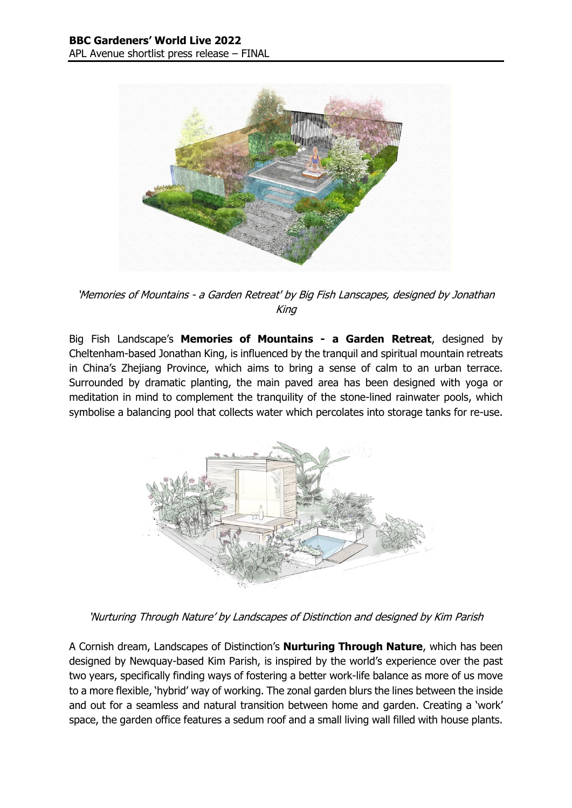

'Memories of Mountains - a Garden Retreat' by Big Fish Lanscapes, designed by Jonathan King

Big Fish Landscape's **Memories of Mountains - a Garden Retreat**, designed by Cheltenham-based Jonathan King, is influenced by the tranquil and spiritual mountain retreats in China's Zhejiang Province, which aims to bring a sense of calm to an urban terrace. Surrounded by dramatic planting, the main paved area has been designed with yoga or meditation in mind to complement the tranquility of the stone-lined rainwater pools, which symbolise a balancing pool that collects water which percolates into storage tanks for re-use.



'Nurturing Through Nature' by Landscapes of Distinction and designed by Kim Parish

A Cornish dream, Landscapes of Distinction's **Nurturing Through Nature**, which has been designed by Newquay-based Kim Parish, is inspired by the world's experience over the past two years, specifically finding ways of fostering a better work-life balance as more of us move to a more flexible, 'hybrid' way of working. The zonal garden blurs the lines between the inside and out for a seamless and natural transition between home and garden. Creating a 'work' space, the garden office features a sedum roof and a small living wall filled with house plants.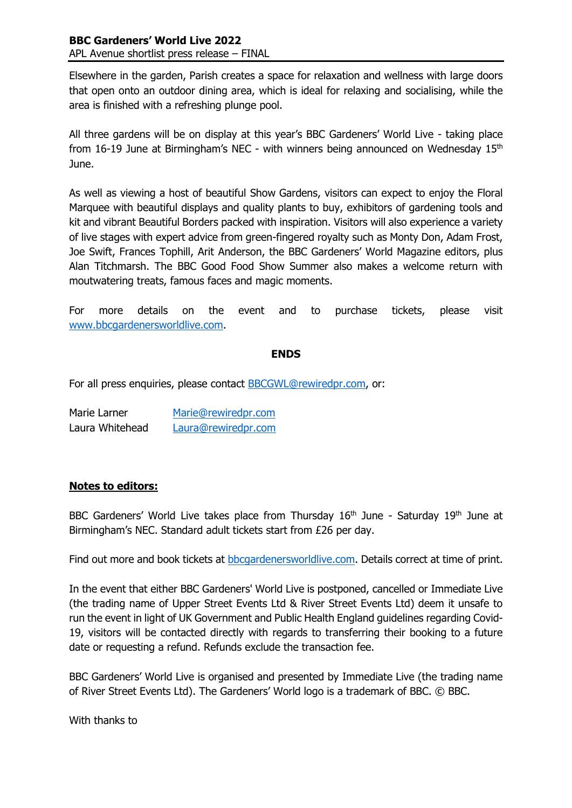Elsewhere in the garden, Parish creates a space for relaxation and wellness with large doors that open onto an outdoor dining area, which is ideal for relaxing and socialising, while the area is finished with a refreshing plunge pool.

All three gardens will be on display at this year's BBC Gardeners' World Live - taking place from 16-19 June at Birmingham's NEC - with winners being announced on Wednesday  $15<sup>th</sup>$ June.

As well as viewing a host of beautiful Show Gardens, visitors can expect to enjoy the Floral Marquee with beautiful displays and quality plants to buy, exhibitors of gardening tools and kit and vibrant Beautiful Borders packed with inspiration. Visitors will also experience a variety of live stages with expert advice from green-fingered royalty such as Monty Don, Adam Frost, Joe Swift, Frances Tophill, Arit Anderson, the BBC Gardeners' World Magazine editors, plus Alan Titchmarsh. The BBC Good Food Show Summer also makes a welcome return with moutwatering treats, famous faces and magic moments.

For more details on the event and to purchase tickets, please visit [www.bbcgardenersworldlive.com.](http://www.bbcgardenersworldlive.com/)

## **ENDS**

For all press enquiries, please contact [BBCGWL@rewiredpr.com,](mailto:BBCGWL@rewiredpr.com) or:

| Marie Larner    | Marie@rewiredpr.com |
|-----------------|---------------------|
| Laura Whitehead | Laura@rewiredpr.com |

## **Notes to editors:**

BBC Gardeners' World Live takes place from Thursday 16<sup>th</sup> June - Saturday 19<sup>th</sup> June at Birmingham's NEC. Standard adult tickets start from £26 per day.

Find out more and book tickets at **bbcgardenersworldlive.com**. Details correct at time of print.

In the event that either BBC Gardeners' World Live is postponed, cancelled or Immediate Live (the trading name of Upper Street Events Ltd & River Street Events Ltd) deem it unsafe to run the event in light of UK Government and Public Health England guidelines regarding Covid-19, visitors will be contacted directly with regards to transferring their booking to a future date or requesting a refund. Refunds exclude the transaction fee.

BBC Gardeners' World Live is organised and presented by Immediate Live (the trading name of River Street Events Ltd). The Gardeners' World logo is a trademark of BBC. © BBC.

With thanks to